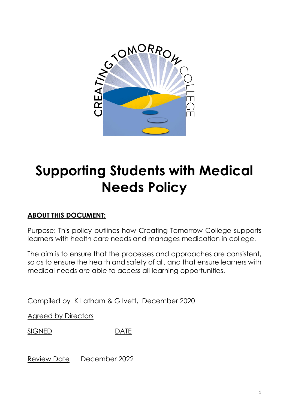

# **Supporting Students with Medical Needs Policy**

## **ABOUT THIS DOCUMENT:**

Purpose: This policy outlines how Creating Tomorrow College supports learners with health care needs and manages medication in college.

The aim is to ensure that the processes and approaches are consistent, so as to ensure the health and safety of all, and that ensure learners with medical needs are able to access all learning opportunities.

Compiled by K Latham & G Ivett, December 2020

Agreed by Directors

SIGNED DATE

Review Date December 2022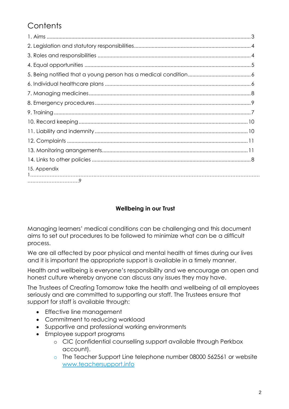## **Contents**

| 15. Appendix |
|--------------|

#### **Wellbeing in our Trust**

Managing learners' medical conditions can be challenging and this document aims to set out procedures to be followed to minimize what can be a difficult process.

We are all affected by poor physical and mental health at times during our lives and it is important the appropriate support is available in a timely manner.

Health and wellbeing is everyone's responsibility and we encourage an open and honest culture whereby anyone can discuss any issues they may have.

The Trustees of Creating Tomorrow take the health and wellbeing of all employees seriously and are committed to supporting our staff. The Trustees ensure that support for staff is available through:

- Effective line management
- Commitment to reducing workload
- Supportive and professional working environments
- Employee support programs
	- o CIC (confidential counselling support available through Perkbox account).
	- o The Teacher Support Line telephone number 08000 562561 or website [www.teachersupport.info](http://www.teachersupport.info/)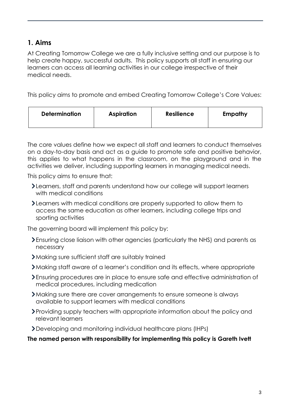## **1. Aims**

At Creating Tomorrow College we are a fully inclusive setting and our purpose is to help create happy, successful adults. This policy supports all staff in ensuring our learners can access all learning activities in our college irrespective of their medical needs.

This policy aims to promote and embed Creating Tomorrow College's Core Values:

| <b>Determination</b> | <b>Resilience</b><br><b>Aspiration</b> | Empathy |
|----------------------|----------------------------------------|---------|
|----------------------|----------------------------------------|---------|

The core values define how we expect all staff and learners to conduct themselves on a day-to-day basis and act as a guide to promote safe and positive behavior, this applies to what happens in the classroom, on the playground and in the activities we deliver, including supporting learners in managing medical needs.

This policy aims to ensure that:

- Learners, staff and parents understand how our college will support learners with medical conditions
- Learners with medical conditions are properly supported to allow them to access the same education as other learners, including college trips and sporting activities

The governing board will implement this policy by:

- Ensuring close liaison with other agencies (particularly the NHS) and parents as necessary
- Making sure sufficient staff are suitably trained
- Making staff aware of a learner's condition and its effects, where appropriate
- Ensuring procedures are in place to ensure safe and effective administration of medical procedures, including medication
- Making sure there are cover arrangements to ensure someone is always available to support learners with medical conditions
- Providing supply teachers with appropriate information about the policy and relevant learners
- Developing and monitoring individual healthcare plans (IHPs)

**The named person with responsibility for implementing this policy is Gareth Ivett**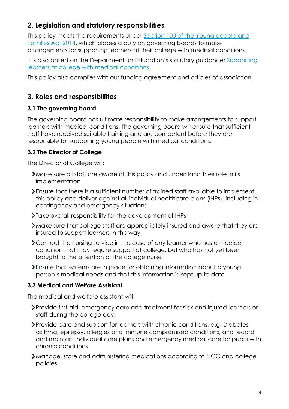## **2. Legislation and statutory responsibilities**

This policy meets the requirements under [Section 100 of the Young people](http://www.legislation.gov.uk/ukpga/2014/6/part/5/crossheading/pupils-with-medical-conditions) and [Families Act 2014,](http://www.legislation.gov.uk/ukpga/2014/6/part/5/crossheading/pupils-with-medical-conditions) which places a duty on governing boards to make arrangements for supporting learners at their college with medical conditions.

It is also based on the Department for Education's statutory guidance: Supporting learners at college [with medical conditions.](https://www.gov.uk/government/uploads/system/uploads/attachment_data/file/484418/supporting-pupils-at-school-with-medical-conditions.pdf)

This policy also complies with our funding agreement and articles of association.

## **3. Roles and responsibilities**

#### **3.1 The governing board**

The governing board has ultimate responsibility to make arrangements to support learners with medical conditions. The governing board will ensure that sufficient staff have received suitable training and are competent before they are responsible for supporting young people with medical conditions.

#### **3.2 The Director of College**

The Director of College will:

- Make sure all staff are aware of this policy and understand their role in its implementation
- Ensure that there is a sufficient number of trained staff available to implement this policy and deliver against all individual healthcare plans (IHPs), including in contingency and emergency situations
- Take overall responsibility for the development of IHPs
- Make sure that college staff are appropriately insured and aware that they are insured to support learners in this way
- Contact the nursing service in the case of any learner who has a medical condition that may require support at college, but who has not yet been brought to the attention of the college nurse
- Ensure that systems are in place for obtaining information about a young person's medical needs and that this information is kept up to date

#### **3.3 Medical and Welfare Assistant**

The medical and welfare assistant will:

- Provide first aid, emergency care and treatment for sick and injured learners or staff during the college day.
- Provide care and support for learners with chronic conditions, e.g. Diabetes, asthma, epilepsy, allergies and immune compromised conditions, and record and maintain individual care plans and emergency medical care for pupils with chronic conditions.
- Manage, store and administering medications according to NCC and college policies.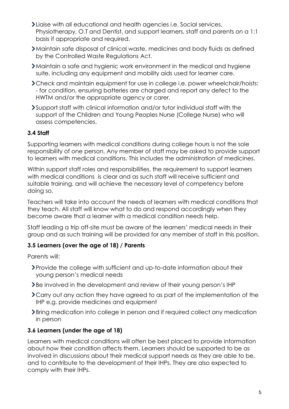- Liaise with all educational and health agencies i.e. Social services, Physiotherapy, O.T and Dentist, and support learners, staff and parents on a 1:1 basis if appropriate and required.
- Maintain safe disposal of clinical waste, medicines and body fluids as defined by the Controlled Waste Regulations Act.
- Maintain a safe and hygienic work environment in the medical and hygiene suite, including any equipment and mobility aids used for learner care.
- Check and maintain equipment for use in college i.e. power wheelchair/hoists: - for condition, ensuring batteries are charged and report any defect to the HWTM and/or the appropriate agency or carer.
- Support staff with clinical information and/or tutor individual staff with the support of the Children and Young Peoples Nurse (College Nurse) who will assess competencies.

#### **3.4 Staff**

Supporting learners with medical conditions during college hours is not the sole responsibility of one person. Any member of staff may be asked to provide support to learners with medical conditions. This includes the administration of medicines.

Within support staff roles and responsibilities, the requirement to support learners with medical conditions is clear and as such staff will receive sufficient and suitable training, and will achieve the necessary level of competency before doing so.

Teachers will take into account the needs of learners with medical conditions that they teach. All staff will know what to do and respond accordingly when they become aware that a learner with a medical condition needs help.

Staff leading a trip off-site must be aware of the learners' medical needs in their group and as such training will be provided for any member of staff in this position.

#### **3.5 Learners (over the age of 18) / Parents**

Parents will:

- Provide the college with sufficient and up-to-date information about their young person's medical needs
- **>Be involved in the development and review of their young person's IHP**
- Carry out any action they have agreed to as part of the implementation of the IHP e.g. provide medicines and equipment
- Bring medication into college in person and if required collect any medication in person

#### **3.6 Learners (under the age of 18)**

Learners with medical conditions will often be best placed to provide information about how their condition affects them. Learners should be supported to be as involved in discussions about their medical support needs as they are able to be, and to contribute to the development of their IHPs. They are also expected to comply with their IHPs.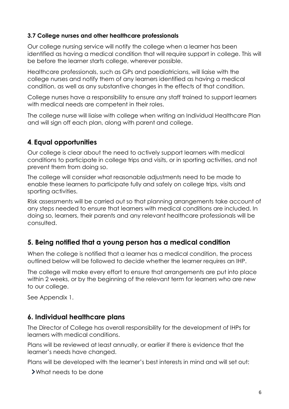#### **3.7 College nurses and other healthcare professionals**

Our college nursing service will notify the college when a learner has been identified as having a medical condition that will require support in college. This will be before the learner starts college, wherever possible.

Healthcare professionals, such as GPs and paediatricians, will liaise with the college nurses and notify them of any learners identified as having a medical condition, as well as any substantive changes in the effects of that condition.

College nurses have a responsibility to ensure any staff trained to support learners with medical needs are competent in their roles.

The college nurse will liaise with college when writing an Individual Healthcare Plan and will sign off each plan, along with parent and college.

## **4. Equal opportunities**

Our college is clear about the need to actively support learners with medical conditions to participate in college trips and visits, or in sporting activities, and not prevent them from doing so.

The college will consider what reasonable adjustments need to be made to enable these learners to participate fully and safely on college trips, visits and sporting activities.

Risk assessments will be carried out so that planning arrangements take account of any steps needed to ensure that learners with medical conditions are included. In doing so, learners, their parents and any relevant healthcare professionals will be consulted.

## **5. Being notified that a young person has a medical condition**

When the college is notified that a learner has a medical condition, the process outlined below will be followed to decide whether the learner requires an IHP.

The college will make every effort to ensure that arrangements are put into place within 2 weeks, or by the beginning of the relevant term for learners who are new to our college.

See Appendix 1.

## **6. Individual healthcare plans**

The Director of College has overall responsibility for the development of IHPs for learners with medical conditions.

Plans will be reviewed at least annually, or earlier if there is evidence that the learner's needs have changed.

Plans will be developed with the learner's best interests in mind and will set out:

What needs to be done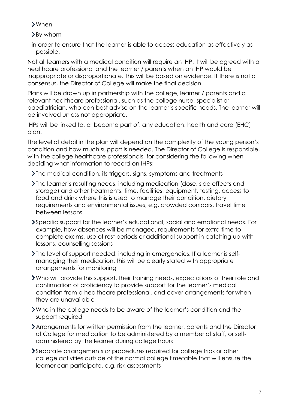When

By whom

in order to ensure that the learner is able to access education as effectively as possible.

Not all learners with a medical condition will require an IHP. It will be agreed with a healthcare professional and the learner / parents when an IHP would be inappropriate or disproportionate. This will be based on evidence. If there is not a consensus, the Director of College will make the final decision.

Plans will be drawn up in partnership with the college, learner / parents and a relevant healthcare professional, such as the college nurse, specialist or paediatrician, who can best advise on the learner's specific needs. The learner will be involved unless not appropriate.

IHPs will be linked to, or become part of, any education, health and care (EHC) plan.

The level of detail in the plan will depend on the complexity of the young person's condition and how much support is needed. The Director of College is responsible, with the college healthcare professionals, for considering the following when deciding what information to record on IHPs:

- Ine medical condition, its triggers, signs, symptoms and treatments
- The learner's resulting needs, including medication (dose, side effects and storage) and other treatments, time, facilities, equipment, testing, access to food and drink where this is used to manage their condition, dietary requirements and environmental issues, e.g. crowded corridors, travel time between lessons
- Specific support for the learner's educational, social and emotional needs. For example, how absences will be managed, requirements for extra time to complete exams, use of rest periods or additional support in catching up with lessons, counselling sessions
- The level of support needed, including in emergencies. If a learner is selfmanaging their medication, this will be clearly stated with appropriate arrangements for monitoring
- Who will provide this support, their training needs, expectations of their role and confirmation of proficiency to provide support for the learner's medical condition from a healthcare professional, and cover arrangements for when they are unavailable
- Who in the college needs to be aware of the learner's condition and the support required
- Arrangements for written permission from the learner, parents and the Director of College for medication to be administered by a member of staff, or selfadministered by the learner during college hours
- Separate arrangements or procedures required for college trips or other college activities outside of the normal college timetable that will ensure the learner can participate, e.g. risk assessments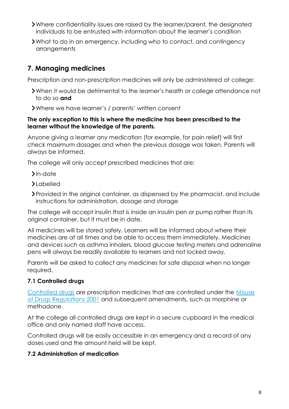- Where confidentiality issues are raised by the learner/parent, the designated individuals to be entrusted with information about the learner's condition
- What to do in an emergency, including who to contact, and contingency arrangements

## **7. Managing medicines**

Prescription and non-prescription medicines will only be administered at college:

- When it would be detrimental to the learner's health or college attendance not to do so **and**
- Where we have learner's / parents' written consent

#### **The only exception to this is where the medicine has been prescribed to the learner without the knowledge of the parents.**

Anyone giving a learner any medication (for example, for pain relief) will first check maximum dosages and when the previous dosage was taken. Parents will always be informed.

The college will only accept prescribed medicines that are:

- $\sum$ In-date
- **>**Labelled
- Provided in the original container, as dispensed by the pharmacist, and include instructions for administration, dosage and storage

The college will accept insulin that is inside an insulin pen or pump rather than its original container, but it must be in date.

All medicines will be stored safely. Learners will be informed about where their medicines are at all times and be able to access them immediately. Medicines and devices such as asthma inhalers, blood glucose testing meters and adrenaline pens will always be readily available to learners and not locked away.

Parents will be asked to collect any medicines for safe disposal when no longer required.

#### **7.1 Controlled drugs**

[Controlled drugs](http://www.nhs.uk/chq/Pages/1391.aspx?CategoryID=73) are prescription medicines that are controlled under the [Misuse](http://www.legislation.gov.uk/uksi/2001/3998/schedule/1/made)  [of Drugs Regulations 2001](http://www.legislation.gov.uk/uksi/2001/3998/schedule/1/made) and subsequent amendments, such as morphine or methadone.

At the college all controlled drugs are kept in a secure cupboard in the medical office and only named staff have access.

Controlled drugs will be easily accessible in an emergency and a record of any doses used and the amount held will be kept.

#### **7.2 Administration of medication**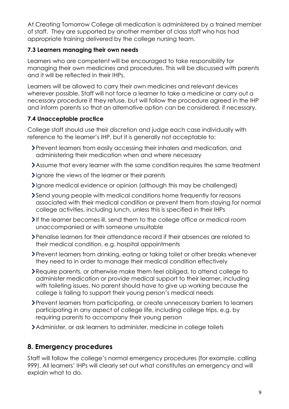At Creating Tomorrow College all medication is administered by a trained member of staff. They are supported by another member of class staff who has had appropriate training delivered by the college nursing team.

#### **7.3 Learners managing their own needs**

Learners who are competent will be encouraged to take responsibility for managing their own medicines and procedures. This will be discussed with parents and it will be reflected in their IHPs.

Learners will be allowed to carry their own medicines and relevant devices wherever possible. Staff will not force a learner to take a medicine or carry out a necessary procedure if they refuse, but will follow the procedure agreed in the IHP and inform parents so that an alternative option can be considered, if necessary.

### **7.4 Unacceptable practice**

College staff should use their discretion and judge each case individually with reference to the learner's IHP, but it is generally not acceptable to:

- Prevent learners from easily accessing their inhalers and medication, and administering their medication when and where necessary
- Assume that every learner with the same condition requires the same treatment
- Ignore the views of the learner or their parents
- Ignore medical evidence or opinion (although this may be challenged)
- Send young people with medical conditions home frequently for reasons associated with their medical condition or prevent them from staying for normal college activities, including lunch, unless this is specified in their IHPs
- If the learner becomes ill, send them to the college office or medical room unaccompanied or with someone unsuitable
- Penalise learners for their attendance record if their absences are related to their medical condition, e.g. hospital appointments
- Prevent learners from drinking, eating or taking toilet or other breaks whenever they need to in order to manage their medical condition effectively
- Require parents, or otherwise make them feel obliged, to attend college to administer medication or provide medical support to their learner, including with toileting issues. No parent should have to give up working because the college is failing to support their young person's medical needs
- Prevent learners from participating, or create unnecessary barriers to learners participating in any aspect of college life, including college trips, e.g. by requiring parents to accompany their young person
- Administer, or ask learners to administer, medicine in college toilets

## **8. Emergency procedures**

Staff will follow the college's normal emergency procedures (for example, calling 999). All learners' IHPs will clearly set out what constitutes an emergency and will explain what to do.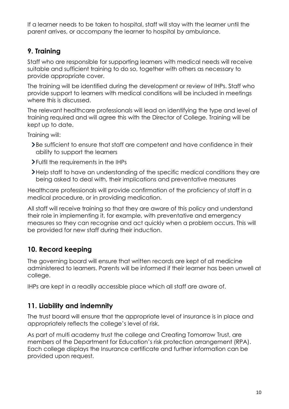If a learner needs to be taken to hospital, staff will stay with the learner until the parent arrives, or accompany the learner to hospital by ambulance.

## **9. Training**

Staff who are responsible for supporting learners with medical needs will receive suitable and sufficient training to do so, together with others as necessary to provide appropriate cover.

The training will be identified during the development or review of IHPs. Staff who provide support to learners with medical conditions will be included in meetings where this is discussed.

The relevant healthcare professionals will lead on identifying the type and level of training required and will agree this with the Director of College. Training will be kept up to date.

Training will:

- Be sufficient to ensure that staff are competent and have confidence in their ability to support the learners
- Fulfil the requirements in the IHPs
- Help staff to have an understanding of the specific medical conditions they are being asked to deal with, their implications and preventative measures

Healthcare professionals will provide confirmation of the proficiency of staff in a medical procedure, or in providing medication.

All staff will receive training so that they are aware of this policy and understand their role in implementing it, for example, with preventative and emergency measures so they can recognise and act quickly when a problem occurs. This will be provided for new staff during their induction.

## **10. Record keeping**

The governing board will ensure that written records are kept of all medicine administered to learners. Parents will be informed if their learner has been unwell at college.

IHPs are kept in a readily accessible place which all staff are aware of.

## **11. Liability and indemnity**

The trust board will ensure that the appropriate level of insurance is in place and appropriately reflects the college's level of risk.

As part of multi academy trust the college and Creating Tomorrow Trust, are members of the Department for Education's risk protection arrangement (RPA). Each college displays the Insurance certificate and further information can be provided upon request.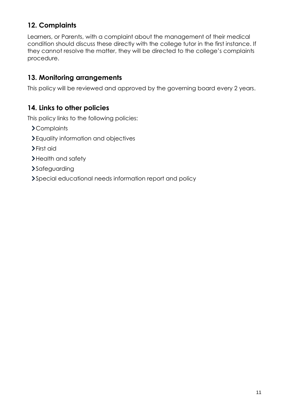## **12. Complaints**

Learners, or Parents, with a complaint about the management of their medical condition should discuss these directly with the college tutor in the first instance. If they cannot resolve the matter, they will be directed to the college's complaints procedure.

## **13. Monitoring arrangements**

This policy will be reviewed and approved by the governing board every 2 years.

#### **14. Links to other policies**

This policy links to the following policies:

- Complaints
- Equality information and objectives
- First aid
- > Health and safety
- >Safeguarding
- Special educational needs information report and policy